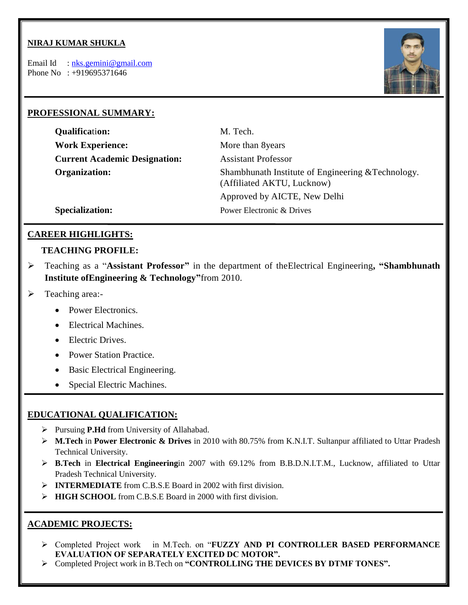### **NIRAJ KUMAR SHUKLA**

Email Id : [nks.gemini@gmail.com](mailto:nks.gemini@gmail.com) Phone No : +919695371646



### **PROFESSIONAL SUMMARY:**

| <b>Qualification:</b>                | M. Tech.                                                                         |  |
|--------------------------------------|----------------------------------------------------------------------------------|--|
| <b>Work Experience:</b>              | More than 8years                                                                 |  |
| <b>Current Academic Designation:</b> | <b>Assistant Professor</b>                                                       |  |
| Organization:                        | Shambhunath Institute of Engineering & Technology.<br>(Affiliated AKTU, Lucknow) |  |
|                                      | Approved by AICTE, New Delhi                                                     |  |
| <b>Specialization:</b>               | Power Electronic & Drives                                                        |  |

### **CAREER HIGHLIGHTS:**

#### **TEACHING PROFILE:**

- Teaching as a "**Assistant Professor"** in the department of theElectrical Engineering**, "Shambhunath Institute ofEngineering & Technology"**from 2010.
- > Teaching area:-
	- Power Electronics.
	- Electrical Machines.
	- Electric Drives.
	- Power Station Practice.
	- Basic Electrical Engineering.
	- Special Electric Machines.

### **EDUCATIONAL QUALIFICATION:**

- Pursuing **P.Hd** from University of Allahabad.
- **M.Tech** in **Power Electronic & Drives** in 2010 with 80.75% from K.N.I.T. Sultanpur affiliated to Uttar Pradesh Technical University.
- **B.Tech** in **Electrical Engineering**in 2007 with 69.12% from B.B.D.N.I.T.M., Lucknow, affiliated to Uttar Pradesh Technical University.
- **INTERMEDIATE** from C.B.S.E Board in 2002 with first division.
- **HIGH SCHOOL** from C.B.S.E Board in 2000 with first division.

### **ACADEMIC PROJECTS:**

- Completed Project work in M.Tech. on "**FUZZY AND PI CONTROLLER BASED PERFORMANCE EVALUATION OF SEPARATELY EXCITED DC MOTOR".**
- Completed Project work in B.Tech on **"CONTROLLING THE DEVICES BY DTMF TONES".**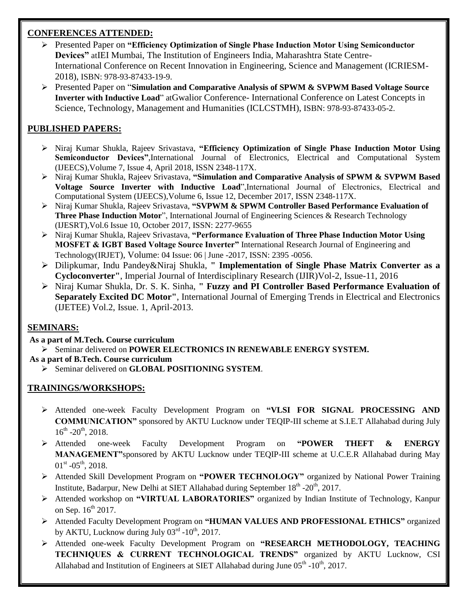## **CONFERENCES ATTENDED:**

- Presented Paper on **"Efficiency Optimization of Single Phase Induction Motor Using Semiconductor Devices"** atIEI Mumbai, The Institution of Engineers India, Maharashtra State Centre-International Conference on Recent Innovation in Engineering, Science and Management (ICRIESM-2018), ISBN: 978-93-87433-19-9.
- Presented Paper on "**Simulation and Comparative Analysis of SPWM & SVPWM Based Voltage Source Inverter with Inductive Load**" atGwalior Conference- International Conference on Latest Concepts in Science, Technology, Management and Humanities (ICLCSTMH), ISBN: 978-93-87433-05-2.

# **PUBLISHED PAPERS:**

- Niraj Kumar Shukla, Rajeev Srivastava, **"Efficiency Optimization of Single Phase Induction Motor Using Semiconductor Devices"**,International Journal of Electronics, Electrical and Computational System (IJEECS),Volume 7, Issue 4, April 2018, ISSN 2348-117X.
- Niraj Kumar Shukla, Rajeev Srivastava, **"Simulation and Comparative Analysis of SPWM & SVPWM Based Voltage Source Inverter with Inductive Load**",International Journal of Electronics, Electrical and Computational System (IJEECS),Volume 6, Issue 12, December 2017, ISSN 2348-117X.
- Niraj Kumar Shukla, Rajeev Srivastava, **"SVPWM & SPWM Controller Based Performance Evaluation of Three Phase Induction Motor**", International Journal of Engineering Sciences & Research Technology (IJESRT),Vol.6 Issue 10, October 2017, ISSN: 2277-9655
- Niraj Kumar Shukla, Rajeev Srivastava, **"Performance Evaluation of Three Phase Induction Motor Using MOSFET & IGBT Based Voltage Source Inverter"** International Research Journal of Engineering and Technology(IRJET), Volume: 04 Issue: 06 | June -2017, ISSN: 2395 -0056.
- Dilipkumar, Indu Pandey&Niraj Shukla, **" Implementation of Single Phase Matrix Converter as a Cycloconverter"**, Imperial Journal of Interdisciplinary Research (IJIR)Vol-2, Issue-11, 2016
- Niraj Kumar Shukla, Dr. S. K. Sinha, **" Fuzzy and PI Controller Based Performance Evaluation of Separately Excited DC Motor"**, International Journal of Emerging Trends in Electrical and Electronics (IJETEE) Vol.2, Issue. 1, April-2013.

## **SEMINARS:**

- **As a part of M.Tech. Course curriculum**
- Seminar delivered on **POWER ELECTRONICS IN RENEWABLE ENERGY SYSTEM.**
- **As a part of B.Tech. Course curriculum**
	- Seminar delivered on **GLOBAL POSITIONING SYSTEM**.

## **TRAININGS/WORKSHOPS:**

- Attended one-week Faculty Development Program on **"VLSI FOR SIGNAL PROCESSING AND COMMUNICATION"** sponsored by AKTU Lucknow under TEQIP-III scheme at S.I.E.T Allahabad during July  $16^{th}$  -20<sup>th</sup>, 2018.
- Attended one-week Faculty Development Program on **"POWER THEFT & ENERGY MANAGEMENT"**sponsored by AKTU Lucknow under TEQIP-III scheme at U.C.E.R Allahabad during May  $01^{\text{st}}$  - $05^{\text{th}}$ , 2018.
- Attended Skill Development Program on **"POWER TECHNOLOGY"** organized by National Power Training Institute, Badarpur, New Delhi at SIET Allahabad during September  $18^{th}$  -20<sup>th</sup>, 2017.
- Attended workshop on **"VIRTUAL LABORATORIES"** organized by Indian Institute of Technology, Kanpur on Sep.  $16^{th}$  2017.
- Attended Faculty Development Program on **"HUMAN VALUES AND PROFESSIONAL ETHICS"** organized by AKTU, Lucknow during July  $03^{\text{rd}}$  -10<sup>th</sup>, 2017.
- Attended one-week Faculty Development Program on **"RESEARCH METHODOLOGY, TEACHING TECHNIQUES & CURRENT TECHNOLOGICAL TRENDS"** organized by AKTU Lucknow, CSI Allahabad and Institution of Engineers at SIET Allahabad during June  $05<sup>th</sup>$  -10<sup>th</sup>, 2017.